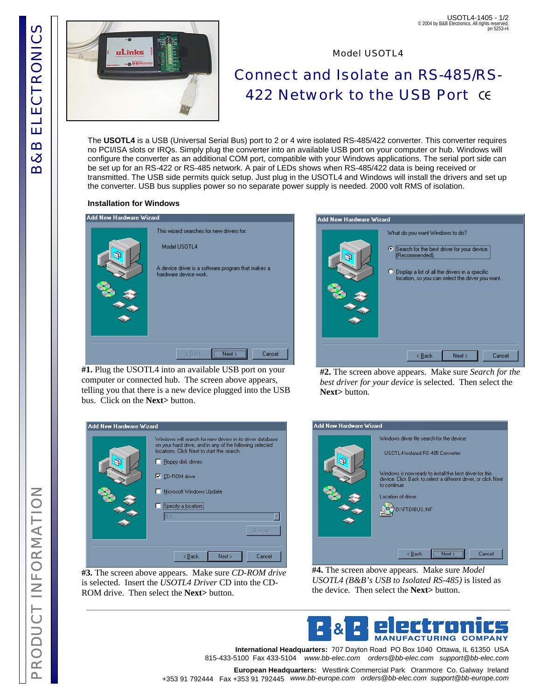

## USOTL4-1405 - 1/2 © 2004 by B&B Electronics. All rights reserved. pn 5253-r4

Model USOTL4

# Connect and Isolate an RS-485/RS-**422 Network to the USB Port CE**

The **USOTL4** is a USB (Universal Serial Bus) port to 2 or 4 wire isolated RS-485/422 converter. This converter requires no PCI/ISA slots or IRQs. Simply plug the converter into an available USB port on your computer or hub. Windows will configure the converter as an additional COM port, compatible with your Windows applications. The serial port side can be set up for an RS-422 or RS-485 network. A pair of LEDs shows when RS-485/422 data is being received or transmitted. The USB side permits quick setup. Just plug in the USOTL4 and Windows will install the drivers and set up the converter. USB bus supplies power so no separate power supply is needed. 2000 volt RMS of isolation.

#### **Installation for Windows**

| Add New Hardware Wizard |                                                                                                                                          |  |  |  |
|-------------------------|------------------------------------------------------------------------------------------------------------------------------------------|--|--|--|
|                         | This wizard searches for new drivers for:<br>Model USOTL4<br>A device driver is a software program that makes a<br>hardware device work. |  |  |  |
|                         | Cancel<br>< Back<br>Next :                                                                                                               |  |  |  |

**#1.** Plug the USOTL4 into an available USB port on your computer or connected hub. The screen above appears, telling you that there is a new device plugged into the USB bus. Click on the **Next>** button.



**#2.** The screen above appears. Make sure *Search for the best driver for your device* is selected. Then select the **Next>** button.

| Add New Hardware Wizard |                                                                                                                                                                                                                                                                                  |  |  |  |
|-------------------------|----------------------------------------------------------------------------------------------------------------------------------------------------------------------------------------------------------------------------------------------------------------------------------|--|--|--|
|                         | Windows will search for new drivers in its driver database<br>on your hard drive, and in any of the following selected<br>locations. Click Next to start the search.<br>Eloppy disk drives<br>$\nabla$ CD-ROM drive<br>Microsoft Windows Update<br>Specify a location:<br>Browse |  |  |  |
|                         | Next<br>Cancel<br>< <u>B</u> ack                                                                                                                                                                                                                                                 |  |  |  |

**#3.** The screen above appears. Make sure *CD-ROM drive*  is selected. Insert the *USOTL4 Driver* CD into the CD-ROM drive. Then select the **Next>** button.



**#4.** The screen above appears. Make sure *Model USOTL4 (B&B's USB to Isolated RS-485)* is listed as the device. Then select the **Next>** button.



**International Headquarters:** 707 Dayton Road PO Box 1040 Ottawa, IL 61350 USA 815-433-5100 Fax 433-5104 *www.bb-elec.com orders@bb-elec.com support@bb-elec.com*

**European Headquarters:** Westlink Commercial Park Oranmore Co. Galway Ireland +353 91 792444 Fax +353 91 792445 *www.bb-europe.com orders@bb-elec.com support@bb-europe.com*

PRODUCT INFORMATION INFORMATIO RODUCT